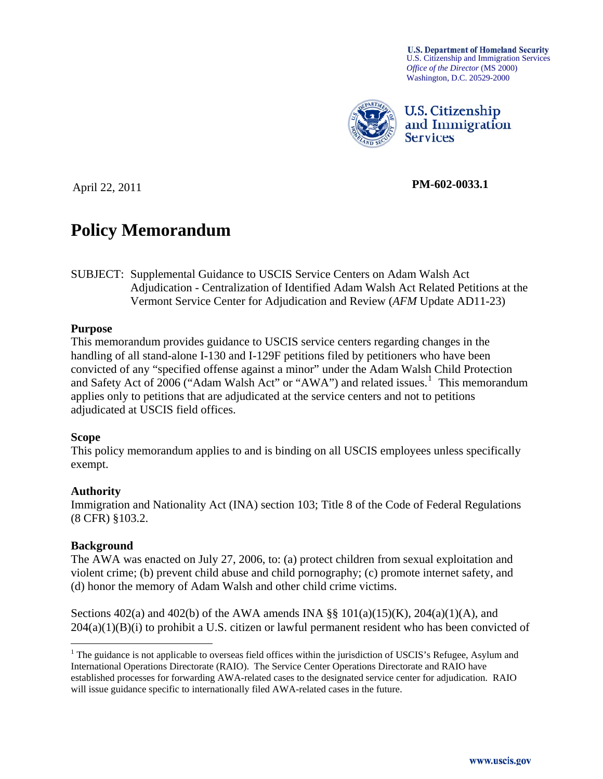**U.S. Department of Homeland Security** U.S. Citizenship and Immigration Services *Office of the Director* (MS 2000) Washington, D.C. 20529-2000



**U.S. Citizenship** and Immigration **Services** 

April 22, 2011 **PM-602-0033.1** 

# **Policy Memorandum**

SUBJECT: Supplemental Guidance to USCIS Service Centers on Adam Walsh Act Adjudication - Centralization of Identified Adam Walsh Act Related Petitions at the Vermont Service Center for Adjudication and Review (*AFM* Update AD11-23)

#### **Purpose**

This memorandum provides guidance to USCIS service centers regarding changes in the handling of all stand-alone I-130 and I-129F petitions filed by petitioners who have been convicted of any "specified offense against a minor" under the Adam Walsh Child Protection and Safety Act of  $2006$  ("Adam Walsh Act" or "AWA") and related issues.<sup>[1](#page-0-0)</sup> This memorandum applies only to petitions that are adjudicated at the service centers and not to petitions adjudicated at USCIS field offices.

#### **Scope**

This policy memorandum applies to and is binding on all USCIS employees unless specifically exempt.

#### **Authority**

Immigration and Nationality Act (INA) section 103; Title 8 of the Code of Federal Regulations (8 CFR) §103.2.

#### **Background**

The AWA was enacted on July 27, 2006, to: (a) protect children from sexual exploitation and violent crime; (b) prevent child abuse and child pornography; (c) promote internet safety, and (d) honor the memory of Adam Walsh and other child crime victims.

Sections 402(a) and 402(b) of the AWA amends INA §§ 101(a)(15)(K), 204(a)(1)(A), and  $204(a)(1)(B)(i)$  to prohibit a U.S. citizen or lawful permanent resident who has been convicted of

<span id="page-0-0"></span><sup>&</sup>lt;sup>1</sup> The guidance is not applicable to overseas field offices within the jurisdiction of USCIS's Refugee, Asylum and International Operations Directorate (RAIO). The Service Center Operations Directorate and RAIO have established processes for forwarding AWA-related cases to the designated service center for adjudication. RAIO will issue guidance specific to internationally filed AWA-related cases in the future.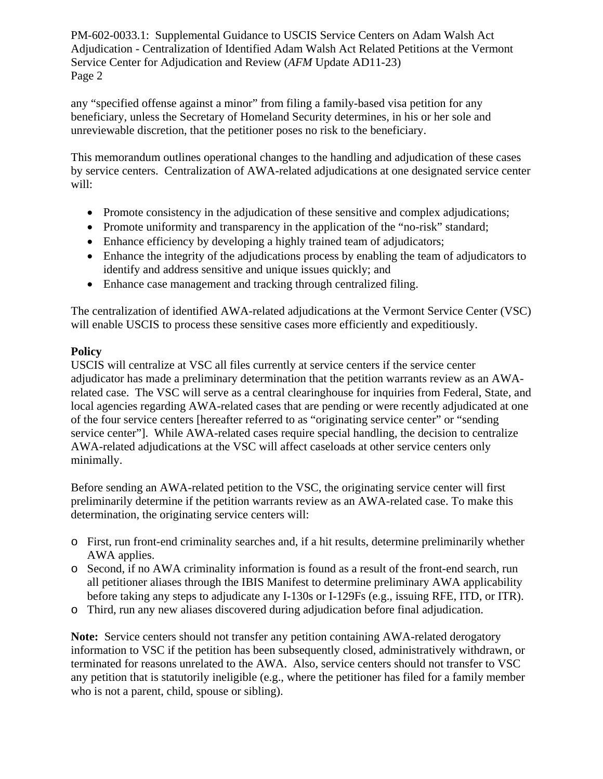any "specified offense against a minor" from filing a family-based visa petition for any beneficiary, unless the Secretary of Homeland Security determines, in his or her sole and unreviewable discretion, that the petitioner poses no risk to the beneficiary.

This memorandum outlines operational changes to the handling and adjudication of these cases by service centers. Centralization of AWA-related adjudications at one designated service center will:

- Promote consistency in the adjudication of these sensitive and complex adjudications;
- Promote uniformity and transparency in the application of the "no-risk" standard;
- Enhance efficiency by developing a highly trained team of adjudicators;
- Enhance the integrity of the adjudications process by enabling the team of adjudicators to identify and address sensitive and unique issues quickly; and
- Enhance case management and tracking through centralized filing.

The centralization of identified AWA-related adjudications at the Vermont Service Center (VSC) will enable USCIS to process these sensitive cases more efficiently and expeditiously.

## **Policy**

USCIS will centralize at VSC all files currently at service centers if the service center adjudicator has made a preliminary determination that the petition warrants review as an AWArelated case. The VSC will serve as a central clearinghouse for inquiries from Federal, State, and local agencies regarding AWA-related cases that are pending or were recently adjudicated at one of the four service centers [hereafter referred to as "originating service center" or "sending service center"]. While AWA-related cases require special handling, the decision to centralize AWA-related adjudications at the VSC will affect caseloads at other service centers only minimally.

Before sending an AWA-related petition to the VSC, the originating service center will first preliminarily determine if the petition warrants review as an AWA-related case. To make this determination, the originating service centers will:

- o First, run front-end criminality searches and, if a hit results, determine preliminarily whether AWA applies.
- o Second, if no AWA criminality information is found as a result of the front-end search, run all petitioner aliases through the IBIS Manifest to determine preliminary AWA applicability before taking any steps to adjudicate any I-130s or I-129Fs (e.g., issuing RFE, ITD, or ITR).
- o Third, run any new aliases discovered during adjudication before final adjudication.

**Note:** Service centers should not transfer any petition containing AWA-related derogatory information to VSC if the petition has been subsequently closed, administratively withdrawn, or terminated for reasons unrelated to the AWA. Also, service centers should not transfer to VSC any petition that is statutorily ineligible (e.g., where the petitioner has filed for a family member who is not a parent, child, spouse or sibling).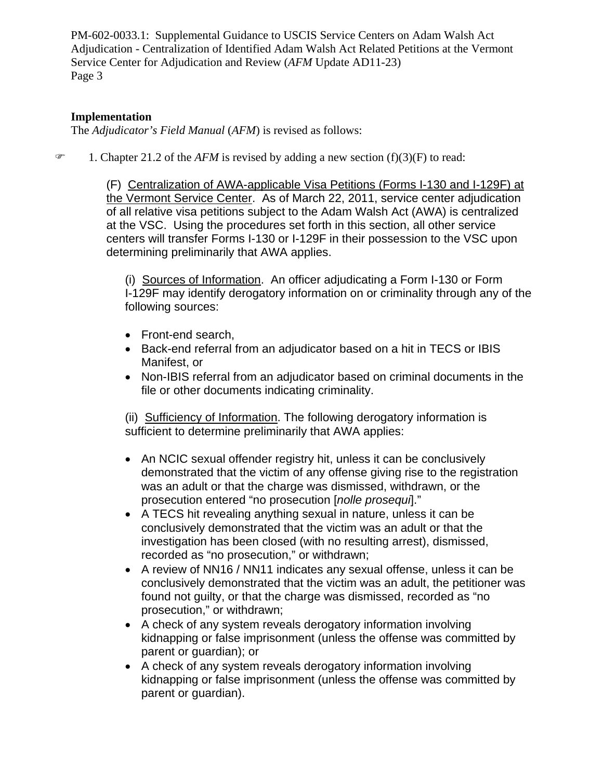## **Implementation**

The *Adjudicator's Field Manual* (*AFM*) is revised as follows:

1. Chapter 21.2 of the *AFM* is revised by adding a new section (f)(3)(F) to read:

(F) Centralization of AWA-applicable Visa Petitions (Forms I-130 and I-129F) at the Vermont Service Center. As of March 22, 2011, service center adjudication of all relative visa petitions subject to the Adam Walsh Act (AWA) is centralized at the VSC. Using the procedures set forth in this section, all other service centers will transfer Forms I-130 or I-129F in their possession to the VSC upon determining preliminarily that AWA applies.

(i) Sources of Information.An officer adjudicating a Form I-130 or Form I-129F may identify derogatory information on or criminality through any of the following sources:

- Front-end search,
- Back-end referral from an adjudicator based on a hit in TECS or IBIS Manifest, or
- Non-IBIS referral from an adjudicator based on criminal documents in the file or other documents indicating criminality.

(ii) Sufficiency of Information. The following derogatory information is sufficient to determine preliminarily that AWA applies:

- An NCIC sexual offender registry hit, unless it can be conclusively demonstrated that the victim of any offense giving rise to the registration was an adult or that the charge was dismissed, withdrawn, or the prosecution entered "no prosecution [*nolle prosequi*]."
- A TECS hit revealing anything sexual in nature, unless it can be conclusively demonstrated that the victim was an adult or that the investigation has been closed (with no resulting arrest), dismissed, recorded as "no prosecution," or withdrawn;
- A review of NN16 / NN11 indicates any sexual offense, unless it can be conclusively demonstrated that the victim was an adult, the petitioner was found not guilty, or that the charge was dismissed, recorded as "no prosecution," or withdrawn;
- A check of any system reveals derogatory information involving kidnapping or false imprisonment (unless the offense was committed by parent or guardian); or
- A check of any system reveals derogatory information involving kidnapping or false imprisonment (unless the offense was committed by parent or guardian).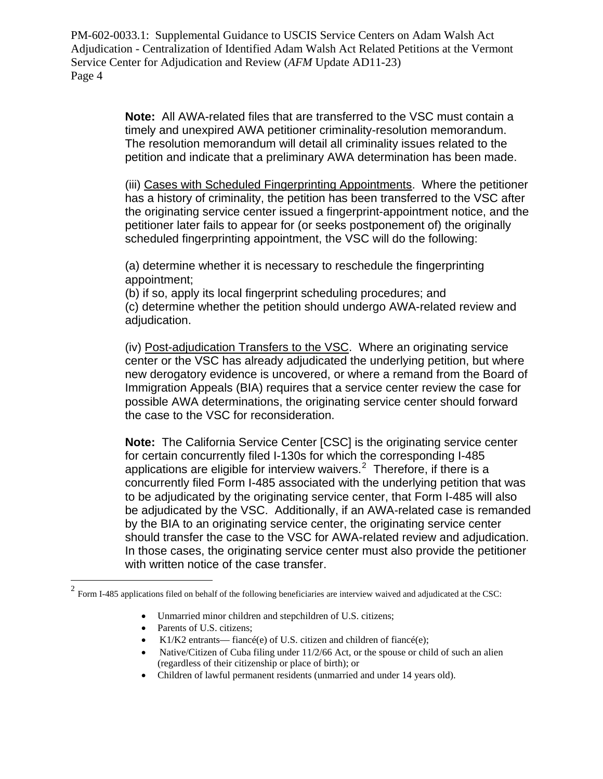> **Note:** All AWA-related files that are transferred to the VSC must contain a timely and unexpired AWA petitioner criminality-resolution memorandum. The resolution memorandum will detail all criminality issues related to the petition and indicate that a preliminary AWA determination has been made.

(iii) Cases with Scheduled Fingerprinting Appointments. Where the petitioner has a history of criminality, the petition has been transferred to the VSC after the originating service center issued a fingerprint-appointment notice, and the petitioner later fails to appear for (or seeks postponement of) the originally scheduled fingerprinting appointment, the VSC will do the following:

(a) determine whether it is necessary to reschedule the fingerprinting appointment;

(b) if so, apply its local fingerprint scheduling procedures; and (c) determine whether the petition should undergo AWA-related review and adjudication.

(iv) Post-adjudication Transfers to the VSC. Where an originating service center or the VSC has already adjudicated the underlying petition, but where new derogatory evidence is uncovered, or where a remand from the Board of Immigration Appeals (BIA) requires that a service center review the case for possible AWA determinations, the originating service center should forward the case to the VSC for reconsideration.

**Note:** The California Service Center [CSC] is the originating service center for certain concurrently filed I-130s for which the corresponding I-485 applications are eligible for interview waivers. $2$  Therefore, if there is a concurrently filed Form I-485 associated with the underlying petition that was to be adjudicated by the originating service center, that Form I-485 will also be adjudicated by the VSC. Additionally, if an AWA-related case is remanded by the BIA to an originating service center, the originating service center should transfer the case to the VSC for AWA-related review and adjudication. In those cases, the originating service center must also provide the petitioner with written notice of the case transfer.

- Unmarried minor children and stepchildren of U.S. citizens;
- Parents of U.S. citizens;

 $\overline{a}$ 

- K1/K2 entrants— fiancé(e) of U.S. citizen and children of fiancé(e);
- Native/Citizen of Cuba filing under 11/2/66 Act, or the spouse or child of such an alien (regardless of their citizenship or place of birth); or
- Children of lawful permanent residents (unmarried and under 14 years old).

<span id="page-3-0"></span> $2$  Form I-485 applications filed on behalf of the following beneficiaries are interview waived and adjudicated at the CSC: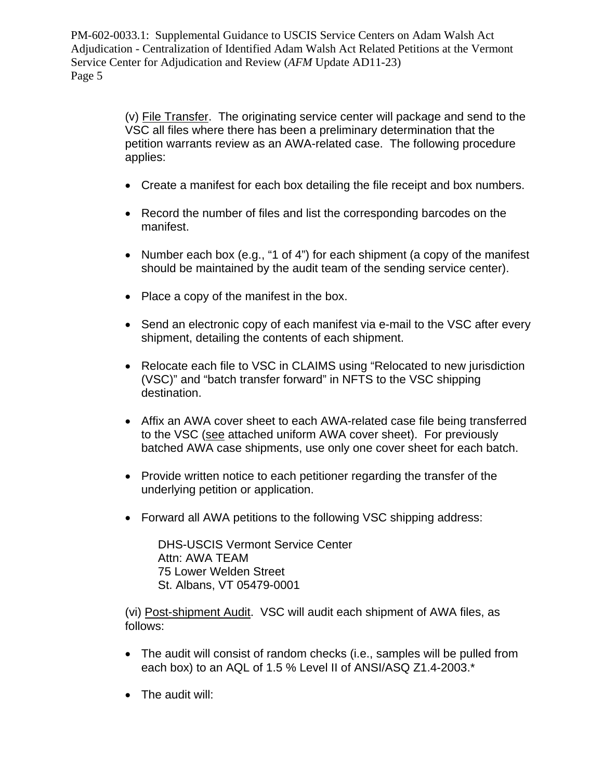> (v) File Transfer.The originating service center will package and send to the VSC all files where there has been a preliminary determination that the petition warrants review as an AWA-related case. The following procedure applies:

- Create a manifest for each box detailing the file receipt and box numbers.
- Record the number of files and list the corresponding barcodes on the manifest.
- Number each box (e.g., "1 of 4") for each shipment (a copy of the manifest should be maintained by the audit team of the sending service center).
- Place a copy of the manifest in the box.
- Send an electronic copy of each manifest via e-mail to the VSC after every shipment, detailing the contents of each shipment.
- Relocate each file to VSC in CLAIMS using "Relocated to new jurisdiction (VSC)" and "batch transfer forward" in NFTS to the VSC shipping destination.
- Affix an AWA cover sheet to each AWA-related case file being transferred to the VSC (see attached uniform AWA cover sheet). For previously batched AWA case shipments, use only one cover sheet for each batch.
- Provide written notice to each petitioner regarding the transfer of the underlying petition or application.
- Forward all AWA petitions to the following VSC shipping address:

DHS-USCIS Vermont Service Center Attn: AWA TEAM 75 Lower Welden Street St. Albans, VT 05479-0001

(vi) Post-shipment Audit.VSC will audit each shipment of AWA files, as follows:

- The audit will consist of random checks (i.e., samples will be pulled from each box) to an AQL of 1.5 % Level II of ANSI/ASQ Z1.4-2003.\*
- The audit will: